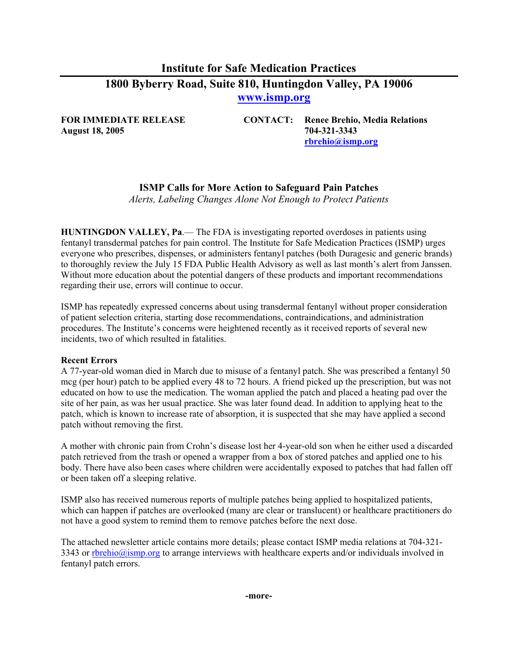# **Institute for Safe Medication Practices 1800 Byberry Road, Suite 810, Huntingdon Valley, PA 19006 [www.ismp.org](http://www.ismp.org/)**

**August 18, 2005 704-321-3343** 

**FOR IMMEDIATE RELEASE CONTACT: Renee Brehio, Media Relations [rbrehio@ismp.org](mailto:rbrehio@ismp.org)**

## **ISMP Calls for More Action to Safeguard Pain Patches**

*Alerts, Labeling Changes Alone Not Enough to Protect Patients* 

**HUNTINGDON VALLEY, Pa**.— The FDA is investigating reported overdoses in patients using fentanyl transdermal patches for pain control. The Institute for Safe Medication Practices (ISMP) urges everyone who prescribes, dispenses, or administers fentanyl patches (both Duragesic and generic brands) to thoroughly review the July 15 FDA Public Health Advisory as well as last month's alert from Janssen. Without more education about the potential dangers of these products and important recommendations regarding their use, errors will continue to occur.

ISMP has repeatedly expressed concerns about using transdermal fentanyl without proper consideration of patient selection criteria, starting dose recommendations, contraindications, and administration procedures. The Institute's concerns were heightened recently as it received reports of several new incidents, two of which resulted in fatalities.

#### **Recent Errors**

A 77-year-old woman died in March due to misuse of a fentanyl patch. She was prescribed a fentanyl 50 mcg (per hour) patch to be applied every 48 to 72 hours. A friend picked up the prescription, but was not educated on how to use the medication. The woman applied the patch and placed a heating pad over the site of her pain, as was her usual practice. She was later found dead. In addition to applying heat to the patch, which is known to increase rate of absorption, it is suspected that she may have applied a second patch without removing the first.

A mother with chronic pain from Crohn's disease lost her 4-year-old son when he either used a discarded patch retrieved from the trash or opened a wrapper from a box of stored patches and applied one to his body. There have also been cases where children were accidentally exposed to patches that had fallen off or been taken off a sleeping relative.

ISMP also has received numerous reports of multiple patches being applied to hospitalized patients, which can happen if patches are overlooked (many are clear or translucent) or healthcare practitioners do not have a good system to remind them to remove patches before the next dose.

The attached newsletter article contains more details; please contact ISMP media relations at 704-321 3343 or [rbrehio@ismp.org](http://www.buginword.com) to arrange interviews with healthcare experts and/or individuals involved in fentanyl patch errors.